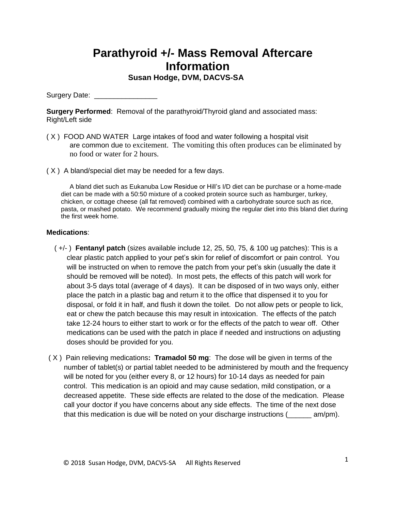## **Parathyroid +/- Mass Removal Aftercare Information**

 **Susan Hodge, DVM, DACVS-SA**

Surgery Date: \_\_\_\_\_\_\_\_\_\_\_\_\_\_\_\_

**Surgery Performed:** Removal of the parathyroid/Thyroid gland and associated mass: Right/Left side

- ( X ) FOOD AND WATER Large intakes of food and water following a hospital visit are common due to excitement. The vomiting this often produces can be eliminated by no food or water for 2 hours.
- ( X ) A bland/special diet may be needed for a few days.

A bland diet such as Eukanuba Low Residue or Hill's I/D diet can be purchase or a home-made diet can be made with a 50:50 mixture of a cooked protein source such as hamburger, turkey, chicken, or cottage cheese (all fat removed) combined with a carbohydrate source such as rice, pasta, or mashed potato. We recommend gradually mixing the regular diet into this bland diet during the first week home.

## **Medications**:

- ( +/- ) **Fentanyl patch** (sizes available include 12, 25, 50, 75, & 100 ug patches): This is a clear plastic patch applied to your pet's skin for relief of discomfort or pain control. You will be instructed on when to remove the patch from your pet's skin (usually the date it should be removed will be noted). In most pets, the effects of this patch will work for about 3-5 days total (average of 4 days). It can be disposed of in two ways only, either place the patch in a plastic bag and return it to the office that dispensed it to you for disposal, or fold it in half, and flush it down the toilet. Do not allow pets or people to lick, eat or chew the patch because this may result in intoxication. The effects of the patch take 12-24 hours to either start to work or for the effects of the patch to wear off. Other medications can be used with the patch in place if needed and instructions on adjusting doses should be provided for you.
- ( X ) Pain relieving medications**: Tramadol 50 mg**: The dose will be given in terms of the number of tablet(s) or partial tablet needed to be administered by mouth and the frequency will be noted for you (either every 8, or 12 hours) for 10-14 days as needed for pain control. This medication is an opioid and may cause sedation, mild constipation, or a decreased appetite. These side effects are related to the dose of the medication. Please call your doctor if you have concerns about any side effects. The time of the next dose that this medication is due will be noted on your discharge instructions (\_\_\_\_\_\_ am/pm).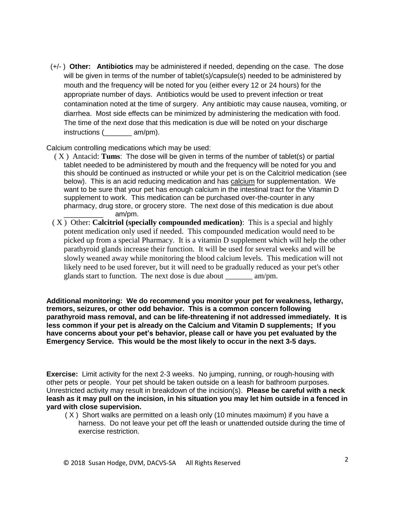(+/- ) **Other: Antibiotics** may be administered if needed, depending on the case. The dose will be given in terms of the number of tablet(s)/capsule(s) needed to be administered by mouth and the frequency will be noted for you (either every 12 or 24 hours) for the appropriate number of days. Antibiotics would be used to prevent infection or treat contamination noted at the time of surgery. Any antibiotic may cause nausea, vomiting, or diarrhea. Most side effects can be minimized by administering the medication with food. The time of the next dose that this medication is due will be noted on your discharge instructions (  $am/pm$ ).

Calcium controlling medications which may be used:

- ( X ) Antacid: **Tums**:The dose will be given in terms of the number of tablet(s) or partial tablet needed to be administered by mouth and the frequency will be noted for you and this should be continued as instructed or while your pet is on the Calcitriol medication (see below). This is an acid reducing medication and has calcium for supplementation. We want to be sure that your pet has enough calcium in the intestinal tract for the Vitamin D supplement to work. This medication can be purchased over-the-counter in any pharmacy, drug store, or grocery store. The next dose of this medication is due about \_\_\_\_\_\_\_\_\_\_ am/pm.
- ( X ) Other: **Calcitriol (specially compounded medication)**: This is a special and highly potent medication only used if needed. This compounded medication would need to be picked up from a special Pharmacy. It is a vitamin D supplement which will help the other parathyroid glands increase their function. It will be used for several weeks and will be slowly weaned away while monitoring the blood calcium levels. This medication will not likely need to be used forever, but it will need to be gradually reduced as your pet's other glands start to function. The next dose is due about \_\_\_\_\_\_\_ am/pm.

**Additional monitoring: We do recommend you monitor your pet for weakness, lethargy, tremors, seizures, or other odd behavior. This is a common concern following parathyroid mass removal, and can be life-threatening if not addressed immediately. It is less common if your pet is already on the Calcium and Vitamin D supplements; If you have concerns about your pet's behavior, please call or have you pet evaluated by the Emergency Service. This would be the most likely to occur in the next 3-5 days.** 

**Exercise:** Limit activity for the next 2-3 weeks. No jumping, running, or rough-housing with other pets or people. Your pet should be taken outside on a leash for bathroom purposes. Unrestricted activity may result in breakdown of the incision(s). **Please be careful with a neck leash as it may pull on the incision, in his situation you may let him outside in a fenced in yard with close supervision.**

 ( X ) Short walks are permitted on a leash only (10 minutes maximum) if you have a harness. Do not leave your pet off the leash or unattended outside during the time of exercise restriction.